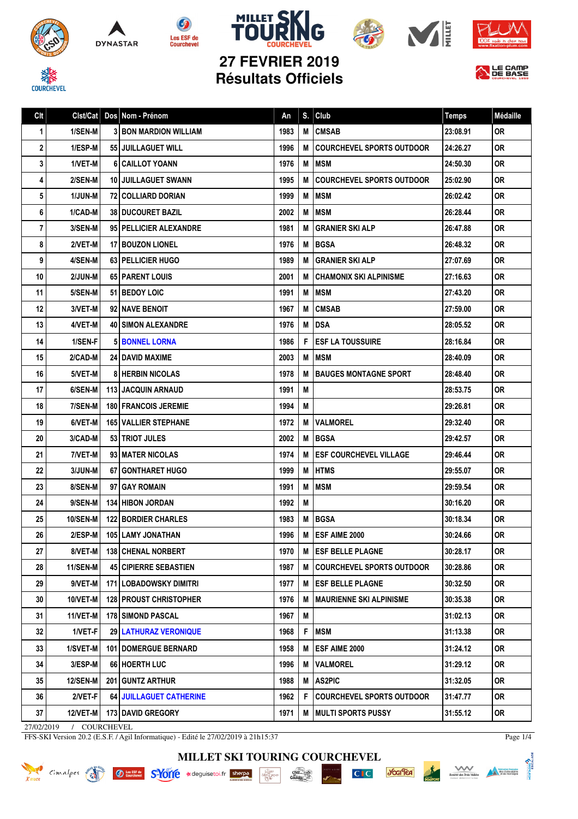









信



## **27 FEVRIER 2019 Résultats Officiels**

| Clt        | Clst/Cat        | Dos Nom - Prénom               | An   | S. | Club                             | <b>Temps</b> | Médaille  |
|------------|-----------------|--------------------------------|------|----|----------------------------------|--------------|-----------|
| 1          | 1/SEN-M         | <b>3 BON MARDION WILLIAM</b>   | 1983 | M  | <b>CMSAB</b>                     | 23:08.91     | 0R        |
| 2          | 1/ESP-M         | 55 JUILLAGUET WILL             | 1996 | M  | <b>COURCHEVEL SPORTS OUTDOOR</b> | 24:26.27     | <b>OR</b> |
| 3          | 1/VET-M         | 6 CAILLOT YOANN                | 1976 | M  | <b>MSM</b>                       | 24:50.30     | <b>OR</b> |
| 4          | 2/SEN-M         | <b>10 JUILLAGUET SWANN</b>     | 1995 | M  | <b>COURCHEVEL SPORTS OUTDOOR</b> | 25:02.90     | <b>OR</b> |
| 5          | 1/JUN-M         | 72 COLLIARD DORIAN             | 1999 | M  | <b>MSM</b>                       | 26:02.42     | <b>OR</b> |
| 6          | 1/CAD-M         | <b>38   DUCOURET BAZIL</b>     | 2002 | M  | <b>MSM</b>                       | 26:28.44     | <b>OR</b> |
| 7          | 3/SEN-M         | 95 PELLICIER ALEXANDRE         | 1981 | M  | <b>GRANIER SKI ALP</b>           | 26:47.88     | <b>OR</b> |
| 8          | 2/VET-M         | 17 BOUZON LIONEL               | 1976 | M  | <b>BGSA</b>                      | 26:48.32     | <b>OR</b> |
| 9          | 4/SEN-M         | 63 PELLICIER HUGO              | 1989 | M  | <b>GRANIER SKI ALP</b>           | 27:07.69     | <b>OR</b> |
| 10         | 2/JUN-M         | 65 PARENT LOUIS                | 2001 | M  | <b>CHAMONIX SKI ALPINISME</b>    | 27:16.63     | <b>OR</b> |
| 11         | 5/SEN-M         | 51 BEDOY LOIC                  | 1991 | M  | <b>MSM</b>                       | 27:43.20     | <b>OR</b> |
| 12         | 3/VET-M         | 92 NAVE BENOIT                 | 1967 | M  | <b>CMSAB</b>                     | 27:59.00     | <b>OR</b> |
| 13         | 4/VET-M         | <b>40 SIMON ALEXANDRE</b>      | 1976 | M  | <b>DSA</b>                       | 28:05.52     | <b>OR</b> |
| 14         | 1/SEN-F         | <b>5 BONNEL LORNA</b>          | 1986 | F  | <b>ESF LA TOUSSUIRE</b>          | 28:16.84     | <b>OR</b> |
| 15         | 2/CAD-M         | <b>24 I DAVID MAXIME</b>       | 2003 | M  | <b>MSM</b>                       | 28:40.09     | <b>OR</b> |
| 16         | 5/VET-M         | <b>8 HERBIN NICOLAS</b>        | 1978 | M  | <b>BAUGES MONTAGNE SPORT</b>     | 28:48.40     | <b>OR</b> |
| 17         | 6/SEN-M         | <b>113 JACQUIN ARNAUD</b>      | 1991 | M  |                                  | 28:53.75     | <b>OR</b> |
| 18         | 7/SEN-M         | 180 FRANCOIS JEREMIE           | 1994 | M  |                                  | 29:26.81     | <b>OR</b> |
| 19         | 6/VET-M         | <b>165 VALLIER STEPHANE</b>    | 1972 | M  | <b>VALMOREL</b>                  | 29:32.40     | <b>OR</b> |
| 20         | 3/CAD-M         | <b>53   TRIOT JULES</b>        | 2002 | M  | <b>BGSA</b>                      | 29:42.57     | <b>OR</b> |
| 21         | 7/VET-M         | 93 MATER NICOLAS               | 1974 | M  | <b>ESF COURCHEVEL VILLAGE</b>    | 29:46.44     | <b>OR</b> |
| 22         | 3/JUN-M         | 67 GONTHARET HUGO              | 1999 | M  | <b>HTMS</b>                      | 29:55.07     | <b>OR</b> |
| 23         | 8/SEN-M         | 97 GAY ROMAIN                  | 1991 | M  | <b>MSM</b>                       | 29:59.54     | <b>OR</b> |
| 24         | 9/SEN-M         | 134 HIBON JORDAN               | 1992 | M  |                                  | 30:16.20     | <b>OR</b> |
| 25         | <b>10/SEN-M</b> | <b>122 BORDIER CHARLES</b>     | 1983 | M  | <b>BGSA</b>                      | 30:18.34     | 0R        |
| 26         | 2/ESP-M         | <b>105 LAMY JONATHAN</b>       | 1996 | M  | ESF AIME 2000                    | 30:24.66     | <b>OR</b> |
| 27         | 8/VET-M         | <b>138 CHENAL NORBERT</b>      | 1970 | M  | <b>IESF BELLE PLAGNE</b>         | 30:28.17     | 0R        |
| 28         | <b>11/SEN-M</b> | <b>45 CIPIERRE SEBASTIEN</b>   | 1987 | M  | <b>COURCHEVEL SPORTS OUTDOOR</b> | 30:28.86     | 0R        |
| 29         | 9/VET-M         | 171 LOBADOWSKY DIMITRI         | 1977 | M  | <b>ESF BELLE PLAGNE</b>          | 30:32.50     | 0R.       |
| 30         | 10/VET-M        | <b>128 PROUST CHRISTOPHER</b>  | 1976 | M  | <b>MAURIENNE SKI ALPINISME</b>   | 30:35.38     | 0R.       |
| 31         | 11/VET-M        | <b>178 SIMOND PASCAL</b>       | 1967 | M  |                                  | 31:02.13     | 0R.       |
| 32         | 1/VET-F         | <b>29 LATHURAZ VERONIQUE</b>   | 1968 | F  | <b>IMSM</b>                      | 31:13.38     | 0R.       |
| 33         | 1/SVET-M        | <b>101   DOMERGUE BERNARD</b>  | 1958 | M  | <b>ESF AIME 2000</b>             | 31:24.12     | OR        |
| 34         | 3/ESP-M         | 66 HOERTH LUC                  | 1996 | M  | <b>VALMOREL</b>                  | 31:29.12     | <b>OR</b> |
| 35         | <b>12/SEN-M</b> | 201 GUNTZ ARTHUR               | 1988 | M  | <b>AS2PIC</b>                    | 31:32.05     | <b>OR</b> |
| 36         | $2/VET-F$       | <b>64 JUILLAGUET CATHERINE</b> | 1962 | F  | <b>COURCHEVEL SPORTS OUTDOOR</b> | 31:47.77     | <b>OR</b> |
| 37         | <b>12/VET-M</b> | 173 DAVID GREGORY              | 1971 | M  | <b>IMULTI SPORTS PUSSY</b>       | 31:55.12     | OR        |
| 27/02/2019 | / COURCHEVEL    |                                |      |    |                                  |              |           |

FFS-SKI Version 20.2 (E.S.F. / Agil Informatique) - Edité le 27/02/2019 à 21h15:37

**MILLET SKI TOURING COURCHEVEL**

 $\cdot \frac{\underset{D \in \mathbb{R}^n}{\underset{D \in \mathbb{R}^n}{\text{Max}}}}{\underset{D \in \mathbb{R}^n}{\text{Max}}}$ 

Cimalpes and Outstand S-YOTIC \*deguisetoi.fr sherpa



*<u><b>Jocifica*</u>

 $CI$ 



Page 1/4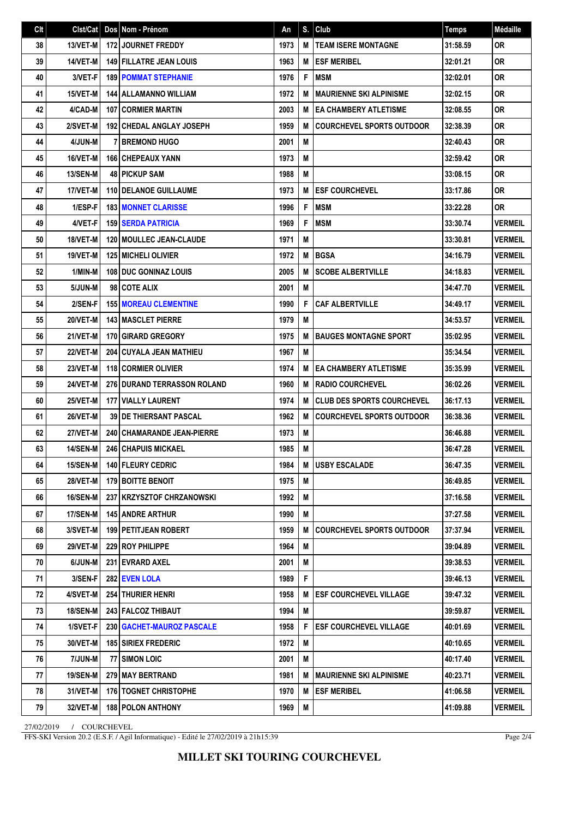| Clt | $Clst/Cat$ Dos  | Nom - Prénom                      | An   | S.I | Club                              | <b>Temps</b> | <b>Médaille</b> |
|-----|-----------------|-----------------------------------|------|-----|-----------------------------------|--------------|-----------------|
| 38  | 13/VET-M        | <b>172 JOURNET FREDDY</b>         | 1973 | M   | <b>TEAM ISERE MONTAGNE</b>        | 31:58.59     | <b>OR</b>       |
| 39  | 14/VET-M        | <b>149 FILLATRE JEAN LOUIS</b>    | 1963 | M   | <b>ESF MERIBEL</b>                | 32:01.21     | <b>OR</b>       |
| 40  | 3/VET-F         | <b>189 POMMAT STEPHANIE</b>       | 1976 | F   | <b>MSM</b>                        | 32:02.01     | <b>OR</b>       |
| 41  | 15/VET-M        | 144   ALLAMANNO WILLIAM           | 1972 | M   | <b>MAURIENNE SKI ALPINISME</b>    | 32:02.15     | <b>OR</b>       |
| 42  | 4/CAD-M         | <b>107 CORMIER MARTIN</b>         | 2003 | M   | <b>EA CHAMBERY ATLETISME</b>      | 32:08.55     | <b>OR</b>       |
| 43  | 2/SVET-M        | <b>192 CHEDAL ANGLAY JOSEPH</b>   | 1959 | M   | <b>COURCHEVEL SPORTS OUTDOOR</b>  | 32:38.39     | 0R              |
| 44  | 4/JUN-M         | <b>7 BREMOND HUGO</b>             | 2001 | M   |                                   | 32:40.43     | <b>OR</b>       |
| 45  | 16/VET-M        | <b>166 CHEPEAUX YANN</b>          | 1973 | M   |                                   | 32:59.42     | <b>OR</b>       |
| 46  | <b>13/SEN-M</b> | 48 PICKUP SAM                     | 1988 | M   |                                   | 33:08.15     | <b>OR</b>       |
| 47  | 17/VET-M        | <b>110 I DELANOE GUILLAUME</b>    | 1973 | M   | <b>ESF COURCHEVEL</b>             | 33:17.86     | <b>OR</b>       |
| 48  | 1/ESP-F         | <b>183   MONNET CLARISSE</b>      | 1996 | F   | <b>MSM</b>                        | 33:22.28     | <b>OR</b>       |
| 49  | 4/VET-F         | <b>159 SERDA PATRICIA</b>         | 1969 | F   | <b>MSM</b>                        | 33:30.74     | <b>VERMEIL</b>  |
| 50  | 18/VET-M        | <b>120   MOULLEC JEAN-CLAUDE</b>  | 1971 | M   |                                   | 33:30.81     | <b>VERMEIL</b>  |
| 51  | 19/VET-M        | <b>125 MICHELI OLIVIER</b>        | 1972 | M   | <b>BGSA</b>                       | 34:16.79     | <b>VERMEIL</b>  |
| 52  | 1/MIN-M         | <b>108 DUC GONINAZ LOUIS</b>      | 2005 | M   | <b>SCOBE ALBERTVILLE</b>          | 34:18.83     | <b>VERMEIL</b>  |
| 53  | 5/JUN-M         | 98 COTE ALIX                      | 2001 | M   |                                   | 34:47.70     | <b>VERMEIL</b>  |
| 54  | 2/SEN-F         | <b>155 MOREAU CLEMENTINE</b>      | 1990 | F   | <b>CAF ALBERTVILLE</b>            | 34:49.17     | <b>VERMEIL</b>  |
| 55  | 20/VET-M        | <b>143 MASCLET PIERRE</b>         | 1979 | M   |                                   | 34:53.57     | <b>VERMEIL</b>  |
| 56  | 21/VET-M        | 170 GIRARD GREGORY                | 1975 | M   | <b>BAUGES MONTAGNE SPORT</b>      | 35:02.95     | <b>VERMEIL</b>  |
| 57  | 22/VET-M        | <b>204 CUYALA JEAN MATHIEU</b>    | 1967 | M   |                                   | 35:34.54     | <b>VERMEIL</b>  |
| 58  | 23/VET-M        | <b>118 CORMIER OLIVIER</b>        | 1974 | M   | <b>EA CHAMBERY ATLETISME</b>      | 35:35.99     | <b>VERMEIL</b>  |
| 59  | 24/VET-M        | 276 DURAND TERRASSON ROLAND       | 1960 | M   | <b>RADIO COURCHEVEL</b>           | 36:02.26     | <b>VERMEIL</b>  |
| 60  | 25/VET-M        | <b>177 VIALLY LAURENT</b>         | 1974 | M   | <b>CLUB DES SPORTS COURCHEVEL</b> | 36:17.13     | <b>VERMEIL</b>  |
| 61  | <b>26/VET-M</b> | <b>39 DE THIERSANT PASCAL</b>     | 1962 | M   | <b>COURCHEVEL SPORTS OUTDOOR</b>  | 36:38.36     | <b>VERMEIL</b>  |
| 62  | <b>27/VET-M</b> | <b>240 CHAMARANDE JEAN-PIERRE</b> | 1973 | M   |                                   | 36:46.88     | <b>VERMEIL</b>  |
| 63  | <b>14/SEN-M</b> | <b>246 CHAPUIS MICKAEL</b>        | 1985 | M   |                                   | 36:47.28     | <b>VERMEIL</b>  |
| 64  | 15/SEN-M        | 140 FLEURY CEDRIC                 | 1984 | M   | <b>USBY ESCALADE</b>              | 36:47.35     | <b>VERMEIL</b>  |
| 65  | 28/VET-M        | 179 BOITTE BENOIT                 | 1975 | М   |                                   | 36:49.85     | <b>VERMEIL</b>  |
| 66  | 16/SEN-M        | 237   KRZYSZTOF CHRZANOWSKI       | 1992 | Μ   |                                   | 37:16.58     | <b>VERMEIL</b>  |
| 67  | 17/SEN-M        | <b>145 ANDRE ARTHUR</b>           | 1990 | M   |                                   | 37:27.58     | <b>VERMEIL</b>  |
| 68  | 3/SVET-M        | 199 PETITJEAN ROBERT              | 1959 | M   | <b>COURCHEVEL SPORTS OUTDOOR</b>  | 37:37.94     | <b>VERMEIL</b>  |
| 69  | <b>29/VET-M</b> | 229 ROY PHILIPPE                  | 1964 | M   |                                   | 39:04.89     | <b>VERMEIL</b>  |
| 70  | 6/JUN-M         | 231 EVRARD AXEL                   | 2001 | M   |                                   | 39:38.53     | <b>VERMEIL</b>  |
| 71  | 3/SEN-F         | 282 EVEN LOLA                     | 1989 | F   |                                   | 39:46.13     | <b>VERMEIL</b>  |
| 72  | 4/SVET-M        | <b>254 THURIER HENRI</b>          | 1958 | M   | <b>ESF COURCHEVEL VILLAGE</b>     | 39:47.32     | <b>VERMEIL</b>  |
| 73  | <b>18/SEN-M</b> | 243 FALCOZ THIBAUT                | 1994 | M   |                                   | 39:59.87     | <b>VERMEIL</b>  |
| 74  | 1/SVET-F        | 230   GACHET-MAUROZ PASCALE       | 1958 | F   | <b>ESF COURCHEVEL VILLAGE</b>     | 40:01.69     | <b>VERMEIL</b>  |
| 75  | 30/VET-M        | <b>185 SIRIEX FREDERIC</b>        | 1972 | M   |                                   | 40:10.65     | <b>VERMEIL</b>  |
| 76  | 7/JUN-M         | 77 SIMON LOIC                     | 2001 | M   |                                   | 40:17.40     | <b>VERMEIL</b>  |
| 77  | <b>19/SEN-M</b> | 279 MAY BERTRAND                  | 1981 | M   | <b>MAURIENNE SKI ALPINISME</b>    | 40:23.71     | <b>VERMEIL</b>  |
| 78  | 31/VET-M        | 176   TOGNET CHRISTOPHE           | 1970 | M   | <b>ESF MERIBEL</b>                | 41:06.58     | <b>VERMEIL</b>  |
| 79  | 32/VET-M        | <b>188 POLON ANTHONY</b>          | 1969 | M   |                                   | 41:09.88     | <b>VERMEIL</b>  |

27/02/2019 / COURCHEVEL

FFS-SKI Version 20.2 (E.S.F. / Agil Informatique) - Edité le 27/02/2019 à 21h15:39

Page 2/4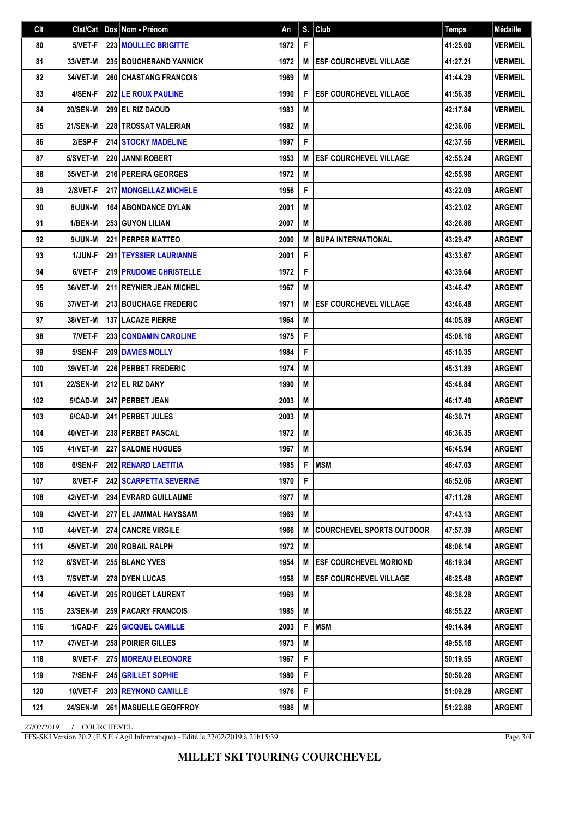| Clt | Clst/Cat        | Dos   Nom - Prénom               | An   |   | $S.$ Club                        | <b>Temps</b> | Médaille       |
|-----|-----------------|----------------------------------|------|---|----------------------------------|--------------|----------------|
| 80  | 5/VET-F         | <b>223 MOULLEC BRIGITTE</b>      | 1972 | F |                                  | 41:25.60     | <b>VERMEIL</b> |
| 81  | 33/VET-M        | <b>235 BOUCHERAND YANNICK</b>    | 1972 | M | <b>ESF COURCHEVEL VILLAGE</b>    | 41:27.21     | <b>VERMEIL</b> |
| 82  | 34/VET-M        | <b>260 CHASTANG FRANCOIS</b>     | 1969 | M |                                  | 41:44.29     | <b>VERMEIL</b> |
| 83  | 4/SEN-F         | <b>202 LE ROUX PAULINE</b>       | 1990 | F | <b>ESF COURCHEVEL VILLAGE</b>    | 41:56.38     | <b>VERMEIL</b> |
| 84  | <b>20/SEN-M</b> | 299 EL RIZ DAOUD                 | 1983 | M |                                  | 42:17.84     | <b>VERMEIL</b> |
| 85  | <b>21/SEN-M</b> | 228 TROSSAT VALERIAN             | 1982 | M |                                  | 42:36.06     | <b>VERMEIL</b> |
| 86  | 2/ESP-F         | <b>214 STOCKY MADELINE</b>       | 1997 | F |                                  | 42:37.56     | <b>VERMEIL</b> |
| 87  | 5/SVET-M        | <b>220 JANNI ROBERT</b>          | 1953 | M | <b>ESF COURCHEVEL VILLAGE</b>    | 42:55.24     | <b>ARGENT</b>  |
| 88  | 35/VET-M        | 216 PEREIRA GEORGES              | 1972 | M |                                  | 42:55.96     | <b>ARGENT</b>  |
| 89  | 2/SVET-F        | <b>217 I MONGELLAZ MICHELE</b>   | 1956 | F |                                  | 43:22.09     | <b>ARGENT</b>  |
| 90  | 8/JUN-M         | <b>164 ABONDANCE DYLAN</b>       | 2001 | M |                                  | 43:23.02     | <b>ARGENT</b>  |
| 91  | 1/BEN-M         | 253 GUYON LILIAN                 | 2007 | M |                                  | 43:26.86     | <b>ARGENT</b>  |
| 92  | 9/JUN-M         | 221 PERPER MATTEO                | 2000 | M | <b>BUPA INTERNATIONAL</b>        | 43:29.47     | <b>ARGENT</b>  |
| 93  | 1/JUN-F         | 291   TEYSSIER LAURIANNE         | 2001 | F |                                  | 43:33.67     | <b>ARGENT</b>  |
| 94  | 6/VET-F         | <b>219 PRUDOME CHRISTELLE</b>    | 1972 | F |                                  | 43:39.64     | <b>ARGENT</b>  |
| 95  | 36/VET-M        | <b>211 I REYNIER JEAN MICHEL</b> | 1967 | M |                                  | 43:46.47     | <b>ARGENT</b>  |
| 96  | 37/VET-M        | <b>213 BOUCHAGE FREDERIC</b>     | 1971 | M | <b>ESF COURCHEVEL VILLAGE</b>    | 43:46.48     | <b>ARGENT</b>  |
| 97  | 38/VET-M        | <b>137 LACAZE PIERRE</b>         | 1964 | M |                                  | 44:05.89     | <b>ARGENT</b>  |
| 98  | 7/VET-F         | <b>233 CONDAMIN CAROLINE</b>     | 1975 | F |                                  | 45:08.16     | <b>ARGENT</b>  |
| 99  | 5/SEN-F         | 209 DAVIES MOLLY                 | 1984 | F |                                  | 45:10.35     | <b>ARGENT</b>  |
| 100 | 39/VET-M        | <b>226 PERBET FREDERIC</b>       | 1974 | M |                                  | 45:31.89     | <b>ARGENT</b>  |
| 101 | 22/SEN-M        | 212 EL RIZ DANY                  | 1990 | M |                                  | 45:48.84     | <b>ARGENT</b>  |
| 102 | 5/CAD-M         | 247   PERBET JEAN                | 2003 | M |                                  | 46:17.40     | <b>ARGENT</b>  |
| 103 | 6/CAD-M         | <b>241 PERBET JULES</b>          | 2003 | M |                                  | 46:30.71     | <b>ARGENT</b>  |
| 104 | 40/VET-M        | 238 PERBET PASCAL                | 1972 | M |                                  | 46:36.35     | <b>ARGENT</b>  |
| 105 | 41/VET-M        | <b>227 SALOME HUGUES</b>         | 1967 | M |                                  | 46:45.94     | <b>ARGENT</b>  |
| 106 | $6/SEN-F$       | 262 RENARD LAETITIA              | 1985 | F | <b>MSM</b>                       | 46:47.03     | <b>ARGENT</b>  |
| 107 | 8/VET-F         | <b>242 SCARPETTA SEVERINE</b>    | 1970 | F |                                  | 46:52.06     | <b>ARGENT</b>  |
| 108 | 42/VET-M        | <b>294 EVRARD GUILLAUME</b>      | 1977 | M |                                  | 47:11.28     | <b>ARGENT</b>  |
| 109 | 43/VET-M        | 277 EL JAMMAL HAYSSAM            | 1969 | M |                                  | 47:43.13     | <b>ARGENT</b>  |
| 110 | 44/VET-M        | 274 CANCRE VIRGILE               | 1966 | M | <b>COURCHEVEL SPORTS OUTDOOR</b> | 47:57.39     | <b>ARGENT</b>  |
| 111 | <b>45/VET-M</b> | 200 ROBAIL RALPH                 | 1972 | M |                                  | 48:06.14     | ARGENT         |
| 112 | 6/SVET-M        | 255 BLANC YVES                   | 1954 | M | <b>ESF COURCHEVEL MORIOND</b>    | 48:19.34     | <b>ARGENT</b>  |
| 113 | 7/SVET-M        | <b>278 DYEN LUCAS</b>            | 1958 | M | <b>ESF COURCHEVEL VILLAGE</b>    | 48:25.48     | <b>ARGENT</b>  |
| 114 | 46/VET-M        | <b>205 ROUGET LAURENT</b>        | 1969 | M |                                  | 48:38.28     | <b>ARGENT</b>  |
| 115 | <b>23/SEN-M</b> | <b>259   PACARY FRANCOIS</b>     | 1985 | Μ |                                  | 48:55.22     | <b>ARGENT</b>  |
| 116 | 1/CAD-F         | 225 GICQUEL CAMILLE              | 2003 | F | <b>MSM</b>                       | 49:14.84     | ARGENT         |
| 117 | 47/VET-M        | 258 POIRIER GILLES               | 1973 | M |                                  | 49:55.16     | <b>ARGENT</b>  |
| 118 | 9/VET-F         | 275 MOREAU ELEONORE              | 1967 | F |                                  | 50:19.55     | <b>ARGENT</b>  |
| 119 | 7/SEN-F         | 245 GRILLET SOPHIE               | 1980 | F |                                  | 50:50.26     | <b>ARGENT</b>  |
| 120 | 10/VET-F        | 203 REYNOND CAMILLE              | 1976 | F |                                  | 51:09.28     | <b>ARGENT</b>  |
| 121 | <b>24/SEN-M</b> | <b>261   MASUELLE GEOFFROY</b>   | 1988 | M |                                  | 51:22.88     | <b>ARGENT</b>  |

27/02/2019 / COURCHEVEL

FFS-SKI Version 20.2 (E.S.F. / Agil Informatique) - Edité le 27/02/2019 à 21h15:39

Page 3/4

**MILLET SKI TOURING COURCHEVEL**